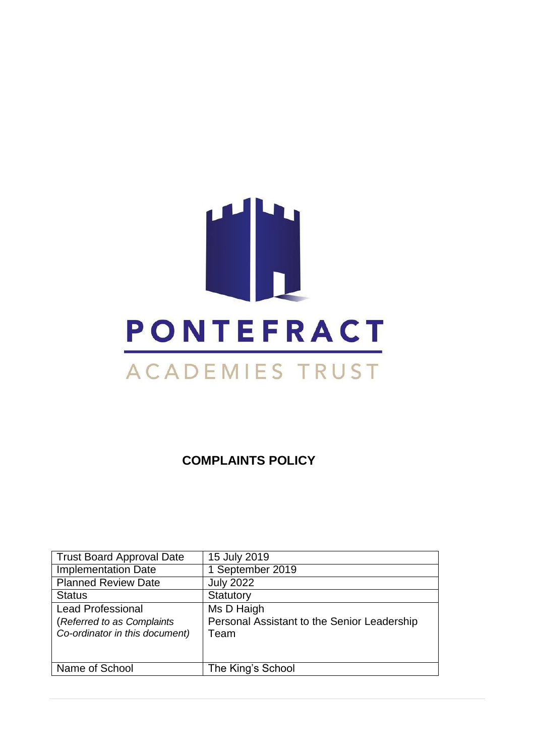

**COMPLAINTS POLICY**

| <b>Trust Board Approval Date</b> | 15 July 2019                                |
|----------------------------------|---------------------------------------------|
| <b>Implementation Date</b>       | 1 September 2019                            |
| <b>Planned Review Date</b>       | <b>July 2022</b>                            |
| <b>Status</b>                    | Statutory                                   |
| <b>Lead Professional</b>         | Ms D Haigh                                  |
| (Referred to as Complaints       | Personal Assistant to the Senior Leadership |
| Co-ordinator in this document)   | Team                                        |
|                                  |                                             |
|                                  |                                             |
| Name of School                   | The King's School                           |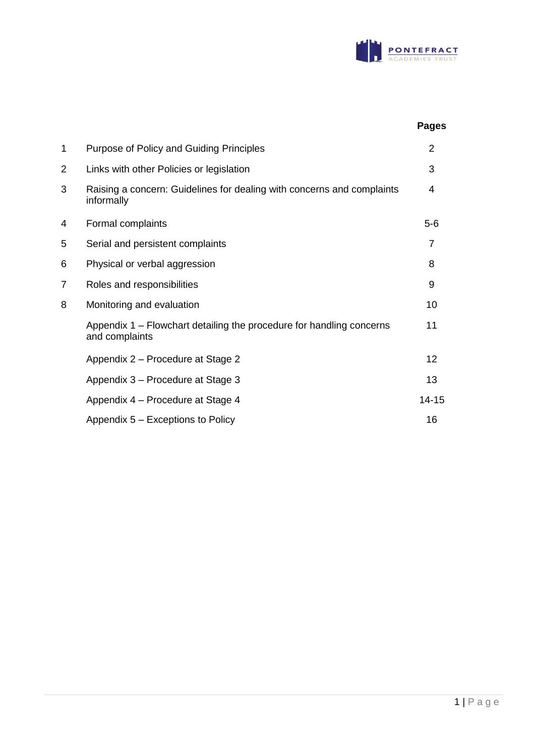

|   |                                                                                        | <b>Pages</b> |
|---|----------------------------------------------------------------------------------------|--------------|
| 1 | Purpose of Policy and Guiding Principles                                               |              |
| 2 | Links with other Policies or legislation                                               | 3            |
| 3 | Raising a concern: Guidelines for dealing with concerns and complaints<br>informally   | 4            |
| 4 | Formal complaints                                                                      | $5-6$        |
| 5 | Serial and persistent complaints                                                       | 7            |
| 6 | Physical or verbal aggression                                                          | 8            |
| 7 | Roles and responsibilities                                                             | 9            |
| 8 | Monitoring and evaluation                                                              | 10           |
|   | Appendix 1 - Flowchart detailing the procedure for handling concerns<br>and complaints | 11           |
|   | Appendix 2 – Procedure at Stage 2                                                      | 12           |
|   | Appendix 3 – Procedure at Stage 3                                                      | 13           |
|   | Appendix 4 – Procedure at Stage 4                                                      | $14 - 15$    |
|   | Appendix 5 – Exceptions to Policy                                                      | 16           |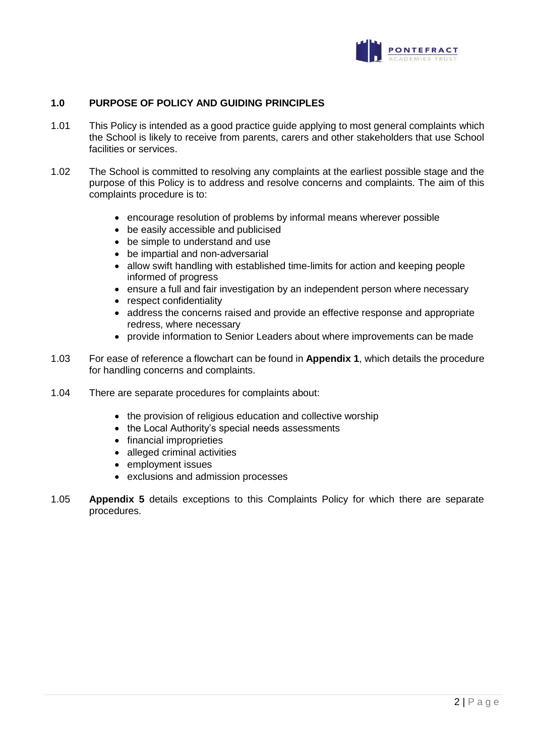

## **1.0 PURPOSE OF POLICY AND GUIDING PRINCIPLES**

- 1.01 This Policy is intended as a good practice guide applying to most general complaints which the School is likely to receive from parents, carers and other stakeholders that use School facilities or services.
- 1.02 The School is committed to resolving any complaints at the earliest possible stage and the purpose of this Policy is to address and resolve concerns and complaints. The aim of this complaints procedure is to:
	- encourage resolution of problems by informal means wherever possible
	- be easily accessible and publicised
	- be simple to understand and use
	- be impartial and non-adversarial
	- allow swift handling with established time-limits for action and keeping people informed of progress
	- ensure a full and fair investigation by an independent person where necessary
	- respect confidentiality
	- address the concerns raised and provide an effective response and appropriate redress, where necessary
	- provide information to Senior Leaders about where improvements can be made
- 1.03 For ease of reference a flowchart can be found in **Appendix 1**, which details the procedure for handling concerns and complaints.
- 1.04 There are separate procedures for complaints about:
	- the provision of religious education and collective worship
	- the Local Authority's special needs assessments
	- financial improprieties
	- alleged criminal activities
	- employment issues
	- exclusions and admission processes
- 1.05 **Appendix 5** details exceptions to this Complaints Policy for which there are separate procedures.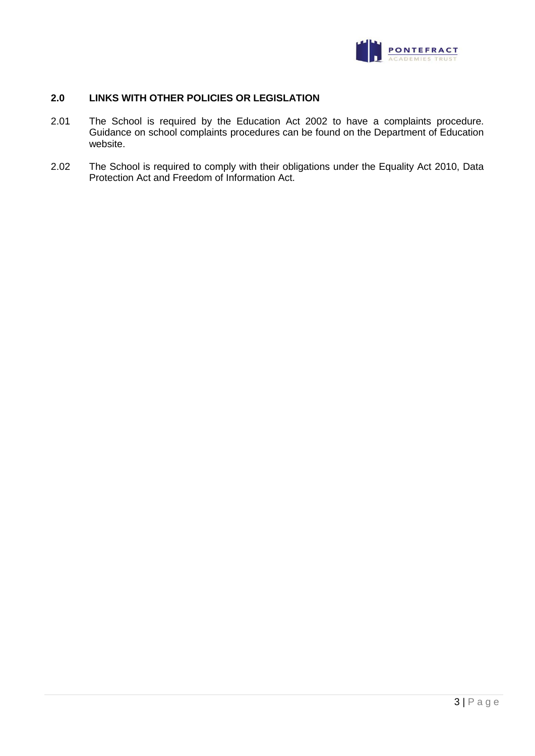

## **2.0 LINKS WITH OTHER POLICIES OR LEGISLATION**

- 2.01 The School is required by the Education Act 2002 to have a complaints procedure. Guidance on school complaints procedures can be found on the Department of Education website.
- 2.02 The School is required to comply with their obligations under the Equality Act 2010, Data Protection Act and Freedom of Information Act.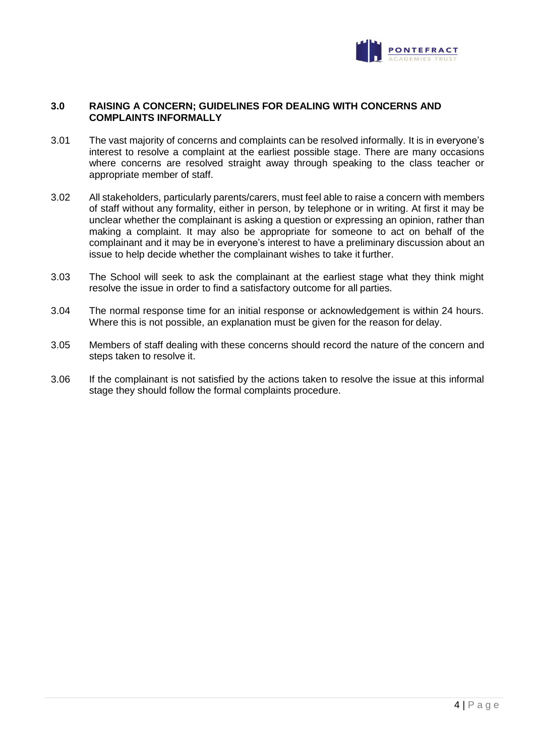

## **3.0 RAISING A CONCERN; GUIDELINES FOR DEALING WITH CONCERNS AND COMPLAINTS INFORMALLY**

- 3.01 The vast majority of concerns and complaints can be resolved informally. It is in everyone's interest to resolve a complaint at the earliest possible stage. There are many occasions where concerns are resolved straight away through speaking to the class teacher or appropriate member of staff.
- 3.02 All stakeholders, particularly parents/carers, must feel able to raise a concern with members of staff without any formality, either in person, by telephone or in writing. At first it may be unclear whether the complainant is asking a question or expressing an opinion, rather than making a complaint. It may also be appropriate for someone to act on behalf of the complainant and it may be in everyone's interest to have a preliminary discussion about an issue to help decide whether the complainant wishes to take it further.
- 3.03 The School will seek to ask the complainant at the earliest stage what they think might resolve the issue in order to find a satisfactory outcome for all parties.
- 3.04 The normal response time for an initial response or acknowledgement is within 24 hours. Where this is not possible, an explanation must be given for the reason for delay.
- 3.05 Members of staff dealing with these concerns should record the nature of the concern and steps taken to resolve it.
- 3.06 If the complainant is not satisfied by the actions taken to resolve the issue at this informal stage they should follow the formal complaints procedure.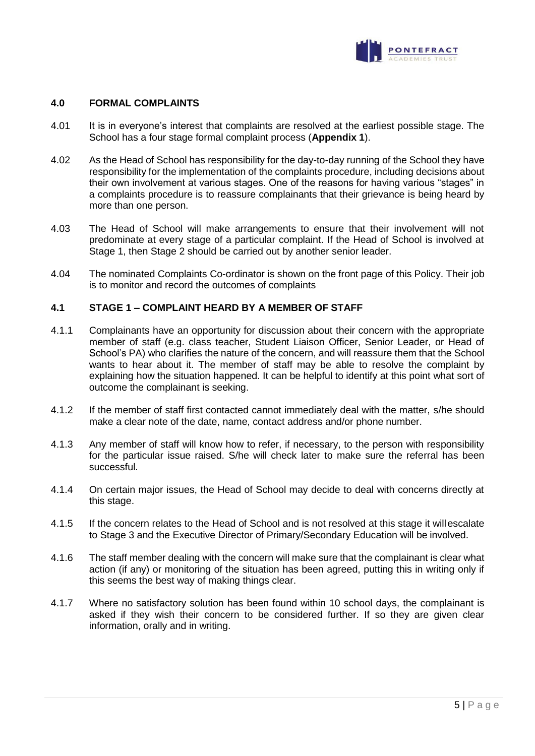

## **4.0 FORMAL COMPLAINTS**

- 4.01 It is in everyone's interest that complaints are resolved at the earliest possible stage. The School has a four stage formal complaint process (**Appendix 1**).
- 4.02 As the Head of School has responsibility for the day-to-day running of the School they have responsibility for the implementation of the complaints procedure, including decisions about their own involvement at various stages. One of the reasons for having various "stages" in a complaints procedure is to reassure complainants that their grievance is being heard by more than one person.
- 4.03 The Head of School will make arrangements to ensure that their involvement will not predominate at every stage of a particular complaint. If the Head of School is involved at Stage 1, then Stage 2 should be carried out by another senior leader.
- 4.04 The nominated Complaints Co-ordinator is shown on the front page of this Policy. Their job is to monitor and record the outcomes of complaints

## **4.1 STAGE 1 – COMPLAINT HEARD BY A MEMBER OF STAFF**

- 4.1.1 Complainants have an opportunity for discussion about their concern with the appropriate member of staff (e.g. class teacher, Student Liaison Officer, Senior Leader, or Head of School's PA) who clarifies the nature of the concern, and will reassure them that the School wants to hear about it. The member of staff may be able to resolve the complaint by explaining how the situation happened. It can be helpful to identify at this point what sort of outcome the complainant is seeking.
- 4.1.2 If the member of staff first contacted cannot immediately deal with the matter, s/he should make a clear note of the date, name, contact address and/or phone number.
- 4.1.3 Any member of staff will know how to refer, if necessary, to the person with responsibility for the particular issue raised. S/he will check later to make sure the referral has been successful.
- 4.1.4 On certain major issues, the Head of School may decide to deal with concerns directly at this stage.
- 4.1.5 If the concern relates to the Head of School and is not resolved at this stage it willescalate to Stage 3 and the Executive Director of Primary/Secondary Education will be involved.
- 4.1.6 The staff member dealing with the concern will make sure that the complainant is clear what action (if any) or monitoring of the situation has been agreed, putting this in writing only if this seems the best way of making things clear.
- 4.1.7 Where no satisfactory solution has been found within 10 school days, the complainant is asked if they wish their concern to be considered further. If so they are given clear information, orally and in writing.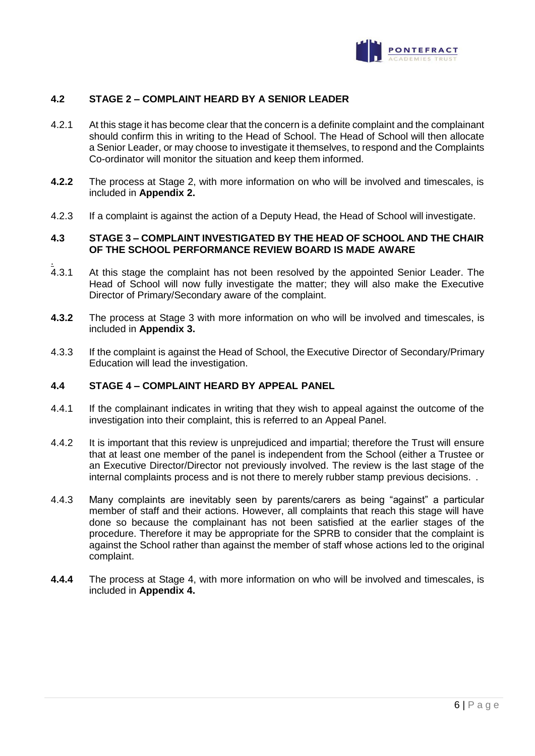

## **4.2 STAGE 2 – COMPLAINT HEARD BY A SENIOR LEADER**

- 4.2.1 At this stage it has become clear that the concern is a definite complaint and the complainant should confirm this in writing to the Head of School. The Head of School will then allocate a Senior Leader, or may choose to investigate it themselves, to respond and the Complaints Co-ordinator will monitor the situation and keep them informed.
- **4.2.2** The process at Stage 2, with more information on who will be involved and timescales, is included in **Appendix 2.**
- 4.2.3 If a complaint is against the action of a Deputy Head, the Head of School will investigate.

## **4.3 STAGE 3 – COMPLAINT INVESTIGATED BY THE HEAD OF SCHOOL AND THE CHAIR OF THE SCHOOL PERFORMANCE REVIEW BOARD IS MADE AWARE**

- $4.3.1$ At this stage the complaint has not been resolved by the appointed Senior Leader. The Head of School will now fully investigate the matter; they will also make the Executive Director of Primary/Secondary aware of the complaint.
- **4.3.2** The process at Stage 3 with more information on who will be involved and timescales, is included in **Appendix 3.**
- 4.3.3 If the complaint is against the Head of School, the Executive Director of Secondary/Primary Education will lead the investigation.

## **4.4 STAGE 4 – COMPLAINT HEARD BY APPEAL PANEL**

- 4.4.1 If the complainant indicates in writing that they wish to appeal against the outcome of the investigation into their complaint, this is referred to an Appeal Panel.
- 4.4.2 It is important that this review is unprejudiced and impartial; therefore the Trust will ensure that at least one member of the panel is independent from the School (either a Trustee or an Executive Director/Director not previously involved. The review is the last stage of the internal complaints process and is not there to merely rubber stamp previous decisions. .
- 4.4.3 Many complaints are inevitably seen by parents/carers as being "against" a particular member of staff and their actions. However, all complaints that reach this stage will have done so because the complainant has not been satisfied at the earlier stages of the procedure. Therefore it may be appropriate for the SPRB to consider that the complaint is against the School rather than against the member of staff whose actions led to the original complaint.
- **4.4.4** The process at Stage 4, with more information on who will be involved and timescales, is included in **Appendix 4.**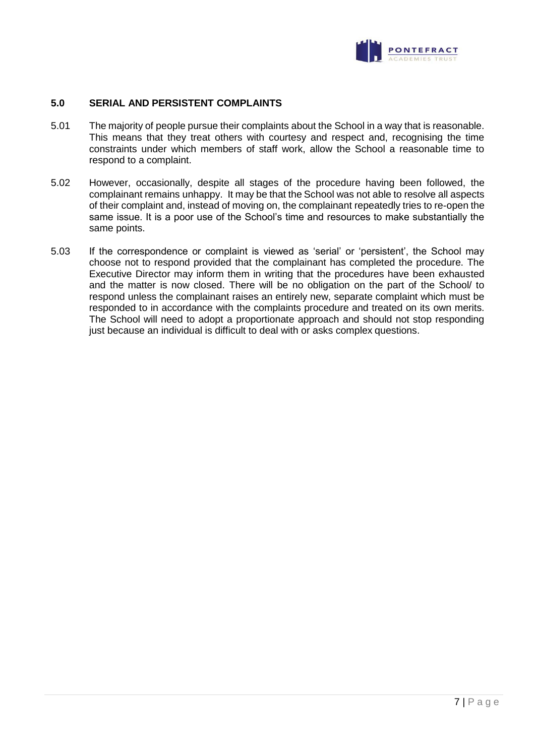

## **5.0 SERIAL AND PERSISTENT COMPLAINTS**

- 5.01 The majority of people pursue their complaints about the School in a way that is reasonable. This means that they treat others with courtesy and respect and, recognising the time constraints under which members of staff work, allow the School a reasonable time to respond to a complaint.
- 5.02 However, occasionally, despite all stages of the procedure having been followed, the complainant remains unhappy. It may be that the School was not able to resolve all aspects of their complaint and, instead of moving on, the complainant repeatedly tries to re-open the same issue. It is a poor use of the School's time and resources to make substantially the same points.
- 5.03 If the correspondence or complaint is viewed as 'serial' or 'persistent', the School may choose not to respond provided that the complainant has completed the procedure. The Executive Director may inform them in writing that the procedures have been exhausted and the matter is now closed. There will be no obligation on the part of the School/ to respond unless the complainant raises an entirely new, separate complaint which must be responded to in accordance with the complaints procedure and treated on its own merits. The School will need to adopt a proportionate approach and should not stop responding just because an individual is difficult to deal with or asks complex questions.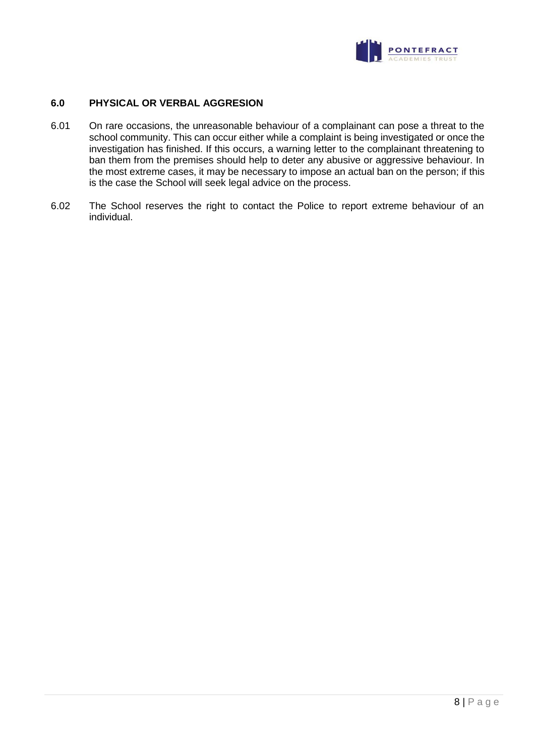

## **6.0 PHYSICAL OR VERBAL AGGRESION**

- 6.01 On rare occasions, the unreasonable behaviour of a complainant can pose a threat to the school community. This can occur either while a complaint is being investigated or once the investigation has finished. If this occurs, a warning letter to the complainant threatening to ban them from the premises should help to deter any abusive or aggressive behaviour. In the most extreme cases, it may be necessary to impose an actual ban on the person; if this is the case the School will seek legal advice on the process.
- 6.02 The School reserves the right to contact the Police to report extreme behaviour of an individual.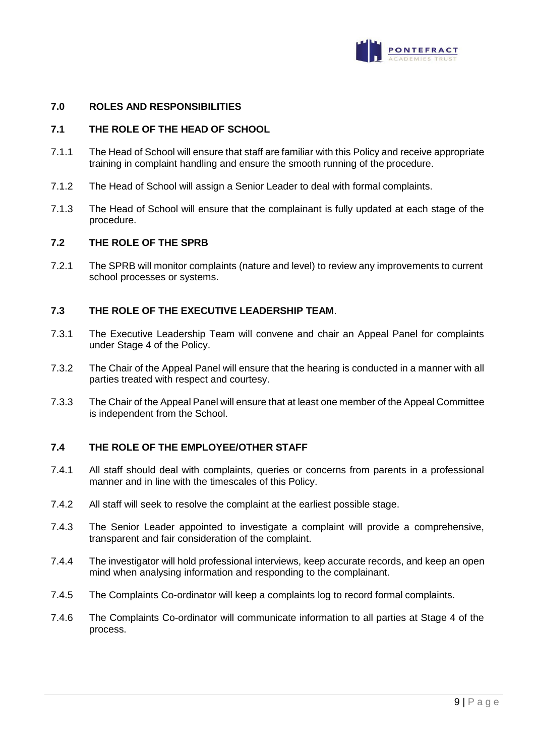

## **7.0 ROLES AND RESPONSIBILITIES**

#### **7.1 THE ROLE OF THE HEAD OF SCHOOL**

- 7.1.1 The Head of School will ensure that staff are familiar with this Policy and receive appropriate training in complaint handling and ensure the smooth running of the procedure.
- 7.1.2 The Head of School will assign a Senior Leader to deal with formal complaints.
- 7.1.3 The Head of School will ensure that the complainant is fully updated at each stage of the procedure.

#### **7.2 THE ROLE OF THE SPRB**

7.2.1 The SPRB will monitor complaints (nature and level) to review any improvements to current school processes or systems.

## **7.3 THE ROLE OF THE EXECUTIVE LEADERSHIP TEAM**.

- 7.3.1 The Executive Leadership Team will convene and chair an Appeal Panel for complaints under Stage 4 of the Policy.
- 7.3.2 The Chair of the Appeal Panel will ensure that the hearing is conducted in a manner with all parties treated with respect and courtesy.
- 7.3.3 The Chair of the Appeal Panel will ensure that at least one member of the Appeal Committee is independent from the School.

## **7.4 THE ROLE OF THE EMPLOYEE/OTHER STAFF**

- 7.4.1 All staff should deal with complaints, queries or concerns from parents in a professional manner and in line with the timescales of this Policy.
- 7.4.2 All staff will seek to resolve the complaint at the earliest possible stage.
- 7.4.3 The Senior Leader appointed to investigate a complaint will provide a comprehensive, transparent and fair consideration of the complaint.
- 7.4.4 The investigator will hold professional interviews, keep accurate records, and keep an open mind when analysing information and responding to the complainant.
- 7.4.5 The Complaints Co-ordinator will keep a complaints log to record formal complaints.
- 7.4.6 The Complaints Co-ordinator will communicate information to all parties at Stage 4 of the process.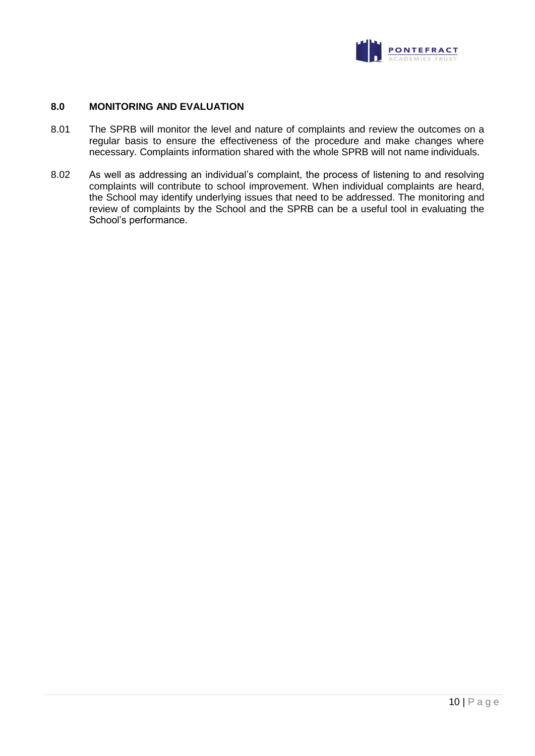

## **8.0 MONITORING AND EVALUATION**

- 8.01 The SPRB will monitor the level and nature of complaints and review the outcomes on a regular basis to ensure the effectiveness of the procedure and make changes where necessary. Complaints information shared with the whole SPRB will not name individuals.
- 8.02 As well as addressing an individual's complaint, the process of listening to and resolving complaints will contribute to school improvement. When individual complaints are heard, the School may identify underlying issues that need to be addressed. The monitoring and review of complaints by the School and the SPRB can be a useful tool in evaluating the School's performance.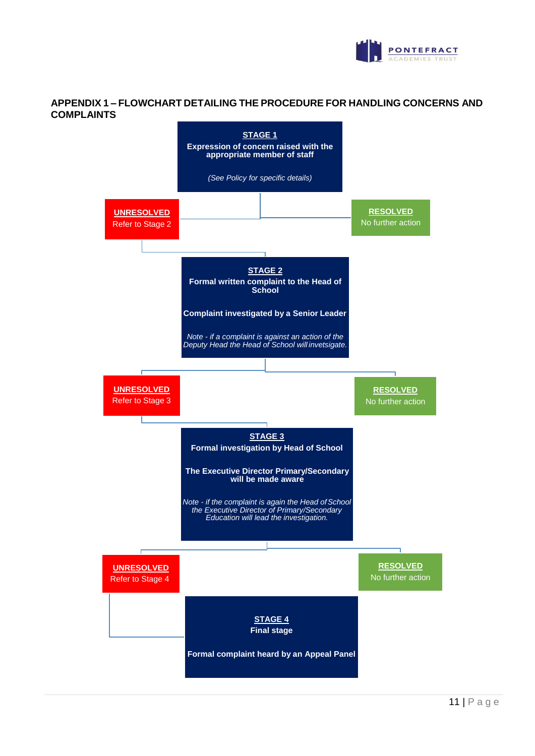

## **APPENDIX 1 – FLOWCHART DETAILING THE PROCEDURE FOR HANDLING CONCERNS AND COMPLAINTS**

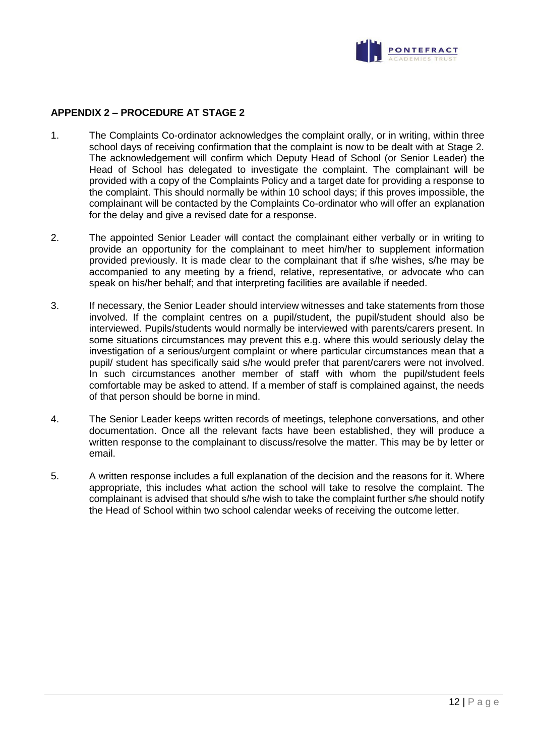

## **APPENDIX 2 – PROCEDURE AT STAGE 2**

- 1. The Complaints Co-ordinator acknowledges the complaint orally, or in writing, within three school days of receiving confirmation that the complaint is now to be dealt with at Stage 2. The acknowledgement will confirm which Deputy Head of School (or Senior Leader) the Head of School has delegated to investigate the complaint. The complainant will be provided with a copy of the Complaints Policy and a target date for providing a response to the complaint. This should normally be within 10 school days; if this proves impossible, the complainant will be contacted by the Complaints Co-ordinator who will offer an explanation for the delay and give a revised date for a response.
- 2. The appointed Senior Leader will contact the complainant either verbally or in writing to provide an opportunity for the complainant to meet him/her to supplement information provided previously. It is made clear to the complainant that if s/he wishes, s/he may be accompanied to any meeting by a friend, relative, representative, or advocate who can speak on his/her behalf; and that interpreting facilities are available if needed.
- 3. If necessary, the Senior Leader should interview witnesses and take statements from those involved. If the complaint centres on a pupil/student, the pupil/student should also be interviewed. Pupils/students would normally be interviewed with parents/carers present. In some situations circumstances may prevent this e.g. where this would seriously delay the investigation of a serious/urgent complaint or where particular circumstances mean that a pupil/ student has specifically said s/he would prefer that parent/carers were not involved. In such circumstances another member of staff with whom the pupil/student feels comfortable may be asked to attend. If a member of staff is complained against, the needs of that person should be borne in mind.
- 4. The Senior Leader keeps written records of meetings, telephone conversations, and other documentation. Once all the relevant facts have been established, they will produce a written response to the complainant to discuss/resolve the matter. This may be by letter or email.
- 5. A written response includes a full explanation of the decision and the reasons for it. Where appropriate, this includes what action the school will take to resolve the complaint. The complainant is advised that should s/he wish to take the complaint further s/he should notify the Head of School within two school calendar weeks of receiving the outcome letter.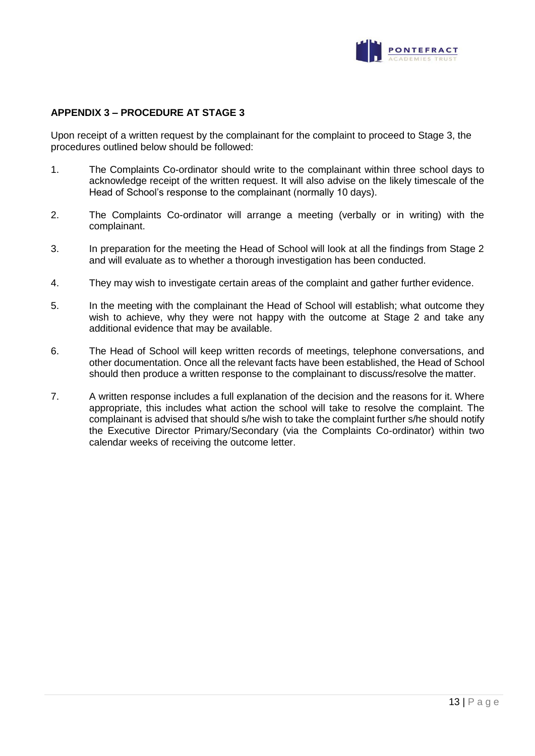

## **APPENDIX 3 – PROCEDURE AT STAGE 3**

Upon receipt of a written request by the complainant for the complaint to proceed to Stage 3, the procedures outlined below should be followed:

- 1. The Complaints Co-ordinator should write to the complainant within three school days to acknowledge receipt of the written request. It will also advise on the likely timescale of the Head of School's response to the complainant (normally 10 days).
- 2. The Complaints Co-ordinator will arrange a meeting (verbally or in writing) with the complainant.
- 3. In preparation for the meeting the Head of School will look at all the findings from Stage 2 and will evaluate as to whether a thorough investigation has been conducted.
- 4. They may wish to investigate certain areas of the complaint and gather further evidence.
- 5. In the meeting with the complainant the Head of School will establish; what outcome they wish to achieve, why they were not happy with the outcome at Stage 2 and take any additional evidence that may be available.
- 6. The Head of School will keep written records of meetings, telephone conversations, and other documentation. Once all the relevant facts have been established, the Head of School should then produce a written response to the complainant to discuss/resolve the matter.
- 7. A written response includes a full explanation of the decision and the reasons for it. Where appropriate, this includes what action the school will take to resolve the complaint. The complainant is advised that should s/he wish to take the complaint further s/he should notify the Executive Director Primary/Secondary (via the Complaints Co-ordinator) within two calendar weeks of receiving the outcome letter.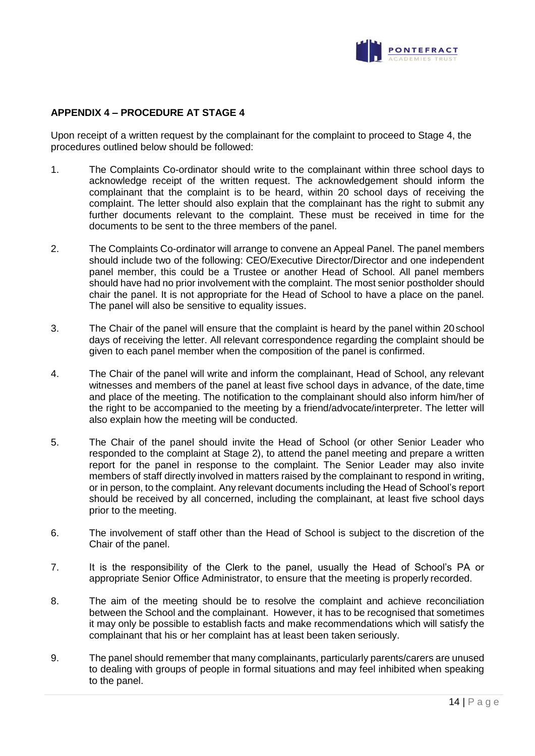

# **APPENDIX 4 – PROCEDURE AT STAGE 4**

Upon receipt of a written request by the complainant for the complaint to proceed to Stage 4, the procedures outlined below should be followed:

- 1. The Complaints Co-ordinator should write to the complainant within three school days to acknowledge receipt of the written request. The acknowledgement should inform the complainant that the complaint is to be heard, within 20 school days of receiving the complaint. The letter should also explain that the complainant has the right to submit any further documents relevant to the complaint. These must be received in time for the documents to be sent to the three members of the panel.
- 2. The Complaints Co-ordinator will arrange to convene an Appeal Panel. The panel members should include two of the following: CEO/Executive Director/Director and one independent panel member, this could be a Trustee or another Head of School. All panel members should have had no prior involvement with the complaint. The most senior postholder should chair the panel. It is not appropriate for the Head of School to have a place on the panel. The panel will also be sensitive to equality issues.
- 3. The Chair of the panel will ensure that the complaint is heard by the panel within 20school days of receiving the letter. All relevant correspondence regarding the complaint should be given to each panel member when the composition of the panel is confirmed.
- 4. The Chair of the panel will write and inform the complainant, Head of School, any relevant witnesses and members of the panel at least five school days in advance, of the date,time and place of the meeting. The notification to the complainant should also inform him/her of the right to be accompanied to the meeting by a friend/advocate/interpreter. The letter will also explain how the meeting will be conducted.
- 5. The Chair of the panel should invite the Head of School (or other Senior Leader who responded to the complaint at Stage 2), to attend the panel meeting and prepare a written report for the panel in response to the complaint. The Senior Leader may also invite members of staff directly involved in matters raised by the complainant to respond in writing, or in person, to the complaint. Any relevant documents including the Head of School's report should be received by all concerned, including the complainant, at least five school days prior to the meeting.
- 6. The involvement of staff other than the Head of School is subject to the discretion of the Chair of the panel.
- 7. It is the responsibility of the Clerk to the panel, usually the Head of School's PA or appropriate Senior Office Administrator, to ensure that the meeting is properly recorded.
- 8. The aim of the meeting should be to resolve the complaint and achieve reconciliation between the School and the complainant. However, it has to be recognised that sometimes it may only be possible to establish facts and make recommendations which will satisfy the complainant that his or her complaint has at least been taken seriously.
- 9. The panel should remember that many complainants, particularly parents/carers are unused to dealing with groups of people in formal situations and may feel inhibited when speaking to the panel.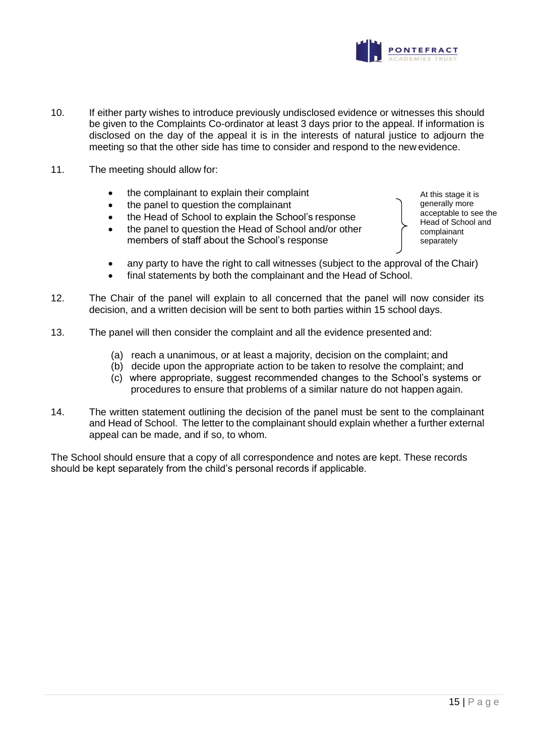

- 10. If either party wishes to introduce previously undisclosed evidence or witnesses this should be given to the Complaints Co-ordinator at least 3 days prior to the appeal. If information is disclosed on the day of the appeal it is in the interests of natural justice to adjourn the meeting so that the other side has time to consider and respond to the new evidence.
- 11. The meeting should allow for:
	- the complainant to explain their complaint
	- the panel to question the complainant
	- the Head of School to explain the School's response
	- the panel to question the Head of School and/or other members of staff about the School's response
- At this stage it is generally more acceptable to see the Head of School and complainant separately
- any party to have the right to call witnesses (subject to the approval of the Chair)
- final statements by both the complainant and the Head of School.
- 12. The Chair of the panel will explain to all concerned that the panel will now consider its decision, and a written decision will be sent to both parties within 15 school days.
- 13. The panel will then consider the complaint and all the evidence presented and:
	- (a) reach a unanimous, or at least a majority, decision on the complaint; and
	- (b) decide upon the appropriate action to be taken to resolve the complaint; and
	- (c) where appropriate, suggest recommended changes to the School's systems or procedures to ensure that problems of a similar nature do not happen again.
- 14. The written statement outlining the decision of the panel must be sent to the complainant and Head of School. The letter to the complainant should explain whether a further external appeal can be made, and if so, to whom.

The School should ensure that a copy of all correspondence and notes are kept. These records should be kept separately from the child's personal records if applicable.